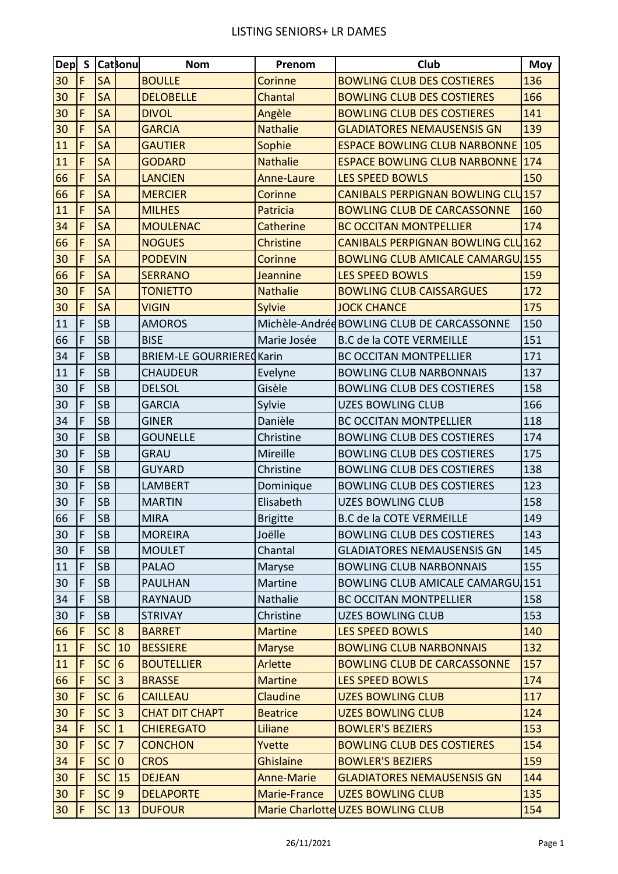## LISTING SENIORS+ LR DAMES

| Dep S           |                | <b>Catsonul</b> |                 | <b>Nom</b>                       | Prenom            | Club                                       | <b>Moy</b> |
|-----------------|----------------|-----------------|-----------------|----------------------------------|-------------------|--------------------------------------------|------------|
| 30              | F              | <b>SA</b>       |                 | <b>BOULLE</b>                    | Corinne           | <b>BOWLING CLUB DES COSTIERES</b>          | 136        |
| 30              | $\mathsf{F}$   | <b>SA</b>       |                 | <b>DELOBELLE</b>                 | Chantal           | <b>BOWLING CLUB DES COSTIERES</b>          | 166        |
| 30              | $\mathsf{F}$   | <b>SA</b>       |                 | <b>DIVOL</b>                     | Angèle            | <b>BOWLING CLUB DES COSTIERES</b>          | 141        |
| 30              | $\overline{F}$ | <b>SA</b>       |                 | <b>GARCIA</b>                    | <b>Nathalie</b>   | <b>GLADIATORES NEMAUSENSIS GN</b>          | 139        |
| 11              | F              | <b>SA</b>       |                 | <b>GAUTIER</b>                   | Sophie            | <b>ESPACE BOWLING CLUB NARBONNE 105</b>    |            |
| 11              | F              | <b>SA</b>       |                 | <b>GODARD</b>                    | <b>Nathalie</b>   | <b>ESPACE BOWLING CLUB NARBONNE 174</b>    |            |
| 66              | F              | <b>SA</b>       |                 | <b>LANCIEN</b>                   | Anne-Laure        | <b>LES SPEED BOWLS</b>                     | 150        |
| 66              | $\mathsf{F}$   | <b>SA</b>       |                 | <b>MERCIER</b>                   | Corinne           | <b>CANIBALS PERPIGNAN BOWLING CLU157</b>   |            |
| 11              | F              | <b>SA</b>       |                 | <b>MILHES</b>                    | Patricia          | <b>BOWLING CLUB DE CARCASSONNE</b>         | 160        |
| 34              | F              | <b>SA</b>       |                 | <b>MOULENAC</b>                  | Catherine         | <b>BC OCCITAN MONTPELLIER</b>              | 174        |
| 66              | F              | <b>SA</b>       |                 | <b>NOGUES</b>                    | <b>Christine</b>  | <b>CANIBALS PERPIGNAN BOWLING CLU162</b>   |            |
| 30              | F              | <b>SA</b>       |                 | <b>PODEVIN</b>                   | Corinne           | <b>BOWLING CLUB AMICALE CAMARGU 155</b>    |            |
| 66              | $\mathsf{F}$   | <b>SA</b>       |                 | <b>SERRANO</b>                   | Jeannine          | <b>LES SPEED BOWLS</b>                     | 159        |
| 30              | F              | <b>SA</b>       |                 | <b>TONIETTO</b>                  | <b>Nathalie</b>   | <b>BOWLING CLUB CAISSARGUES</b>            | 172        |
| 30              | F              | <b>SA</b>       |                 | <b>VIGIN</b>                     | <b>Sylvie</b>     | <b>JOCK CHANCE</b>                         | 175        |
| 11              | F              | <b>SB</b>       |                 | <b>AMOROS</b>                    |                   | Michèle-Andréd BOWLING CLUB DE CARCASSONNE | 150        |
| 66              | F              | <b>SB</b>       |                 | <b>BISE</b>                      | Marie Josée       | <b>B.C de la COTE VERMEILLE</b>            | 151        |
| 34              | $\mathsf{F}$   | <b>SB</b>       |                 | <b>BRIEM-LE GOURRIERE CKarin</b> |                   | <b>BC OCCITAN MONTPELLIER</b>              | 171        |
| 11              | F              | <b>SB</b>       |                 | <b>CHAUDEUR</b>                  | Evelyne           | <b>BOWLING CLUB NARBONNAIS</b>             | 137        |
| 30              | F              | <b>SB</b>       |                 | <b>DELSOL</b>                    | Gisèle            | <b>BOWLING CLUB DES COSTIERES</b>          | 158        |
| 30              | F              | <b>SB</b>       |                 | <b>GARCIA</b>                    | Sylvie            | <b>UZES BOWLING CLUB</b>                   | 166        |
| 34              | $\mathsf{F}$   | <b>SB</b>       |                 | <b>GINER</b>                     | Danièle           | <b>BC OCCITAN MONTPELLIER</b>              | 118        |
| 30              | $\mathsf F$    | <b>SB</b>       |                 | <b>GOUNELLE</b>                  | Christine         | <b>BOWLING CLUB DES COSTIERES</b>          | 174        |
| 30              | F              | <b>SB</b>       |                 | <b>GRAU</b>                      | Mireille          | <b>BOWLING CLUB DES COSTIERES</b>          | 175        |
| 30              | F              | <b>SB</b>       |                 | <b>GUYARD</b>                    | Christine         | <b>BOWLING CLUB DES COSTIERES</b>          | 138        |
| 30              | F              | <b>SB</b>       |                 | LAMBERT                          | Dominique         | <b>BOWLING CLUB DES COSTIERES</b>          | 123        |
| 30              | F              | <b>SB</b>       |                 | <b>MARTIN</b>                    | Elisabeth         | <b>UZES BOWLING CLUB</b>                   | 158        |
| 66              | F              | ${\sf SB}$      |                 | <b>MIRA</b>                      | <b>Brigitte</b>   | <b>B.C de la COTE VERMEILLE</b>            | 149        |
| 30              | F              | <b>SB</b>       |                 | <b>MOREIRA</b>                   | Joëlle            | <b>BOWLING CLUB DES COSTIERES</b>          | 143        |
| 30              | $\mathsf F$    | <b>SB</b>       |                 | <b>MOULET</b>                    | Chantal           | <b>GLADIATORES NEMAUSENSIS GN</b>          | 145        |
| 11              | $\mathsf F$    | <b>SB</b>       |                 | <b>PALAO</b>                     | Maryse            | <b>BOWLING CLUB NARBONNAIS</b>             | 155        |
| 30              | $\mathsf F$    | <b>SB</b>       |                 | <b>PAULHAN</b>                   | Martine           | <b>BOWLING CLUB AMICALE CAMARGU 151</b>    |            |
| 34              | $\mathsf F$    | <b>SB</b>       |                 | <b>RAYNAUD</b>                   | Nathalie          | <b>BC OCCITAN MONTPELLIER</b>              | 158        |
| 30              | $\mathsf F$    | <b>SB</b>       |                 | <b>STRIVAY</b>                   | Christine         | <b>UZES BOWLING CLUB</b>                   | 153        |
| 66              | $\mathsf F$    | $SC$ $ 8$       |                 | <b>BARRET</b>                    | <b>Martine</b>    | <b>LES SPEED BOWLS</b>                     | 140        |
| 11              | $\mathsf F$    | <b>SC</b>       | 10              | <b>BESSIERE</b>                  | <b>Maryse</b>     | <b>BOWLING CLUB NARBONNAIS</b>             | 132        |
| 11              | $\mathsf F$    | <b>SC</b>       | $6\overline{6}$ | <b>BOUTELLIER</b>                | Arlette           | <b>BOWLING CLUB DE CARCASSONNE</b>         | 157        |
| 66              | $\mathsf F$    | <b>SC</b>       | $\overline{3}$  | <b>BRASSE</b>                    | <b>Martine</b>    | LES SPEED BOWLS                            | 174        |
| 30              | $\mathsf F$    | <b>SC</b>       | $6\overline{6}$ | <b>CAILLEAU</b>                  | Claudine          | <b>UZES BOWLING CLUB</b>                   | 117        |
| 30 <sub>o</sub> | $\mathsf F$    | <b>SC</b>       | $\overline{3}$  | <b>CHAT DIT CHAPT</b>            | <b>Beatrice</b>   | <b>UZES BOWLING CLUB</b>                   | 124        |
| 34              | F              | <b>SC</b>       | $\mathbf{1}$    | <b>CHIEREGATO</b>                | Liliane           | <b>BOWLER'S BEZIERS</b>                    | 153        |
| 30 <sub>o</sub> | $\mathsf F$    | <b>SC</b>       | $7\overline{ }$ | <b>CONCHON</b>                   | Yvette            | <b>BOWLING CLUB DES COSTIERES</b>          | 154        |
| 34              | $\mathsf F$    | <b>SC</b>       | $\overline{0}$  | <b>CROS</b>                      | <b>Ghislaine</b>  | <b>BOWLER'S BEZIERS</b>                    | 159        |
| 30 <sub>o</sub> | $\mathsf F$    | <b>SC</b>       | 15              | <b>DEJEAN</b>                    | <b>Anne-Marie</b> | <b>GLADIATORES NEMAUSENSIS GN</b>          | 144        |
| 30              | $\mathsf F$    | <b>SC</b>       | 9 <sup>°</sup>  | <b>DELAPORTE</b>                 | Marie-France      | <b>UZES BOWLING CLUB</b>                   | 135        |
| 30              | F              | $SC$   13       |                 | <b>DUFOUR</b>                    |                   | Marie Charlotte UZES BOWLING CLUB          | 154        |